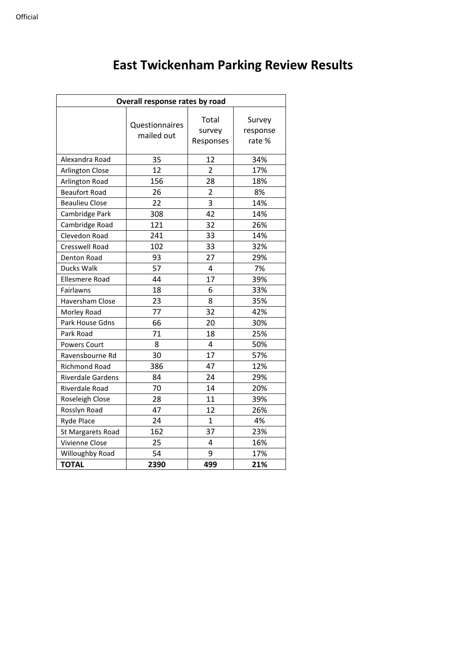| Overall response rates by road |                              |                              |                             |  |  |
|--------------------------------|------------------------------|------------------------------|-----------------------------|--|--|
|                                | Questionnaires<br>mailed out | Total<br>survey<br>Responses | Survey<br>response<br>rate% |  |  |
| Alexandra Road                 | 35                           | 12                           | 34%                         |  |  |
| <b>Arlington Close</b>         | 12                           | $\overline{2}$               | 17%                         |  |  |
| Arlington Road                 | 156                          | 28                           | 18%                         |  |  |
| <b>Beaufort Road</b>           | 26                           | $\overline{2}$               | 8%                          |  |  |
| <b>Beaulieu Close</b>          | 22                           | 3                            | 14%                         |  |  |
| Cambridge Park                 | 308                          | 42                           | 14%                         |  |  |
| Cambridge Road                 | 121                          | 32                           | 26%                         |  |  |
| Clevedon Road                  | 241                          | 33                           | 14%                         |  |  |
| <b>Cresswell Road</b>          | 102                          | 33                           | 32%                         |  |  |
| Denton Road                    | 93                           | 27                           | 29%                         |  |  |
| Ducks Walk                     | 57                           | 4                            | 7%                          |  |  |
| <b>Ellesmere Road</b>          | 44                           | 17                           | 39%                         |  |  |
| Fairlawns                      | 18                           | 6                            | 33%                         |  |  |
| Haversham Close                | 23                           | 8                            | 35%                         |  |  |
| Morley Road                    | 77                           | 32                           | 42%                         |  |  |
| Park House Gdns                | 66                           | 20                           | 30%                         |  |  |
| Park Road                      | 71                           | 18                           | 25%                         |  |  |
| <b>Powers Court</b>            | 8                            | 4                            | 50%                         |  |  |
| Ravensbourne Rd                | 30                           | 17                           | 57%                         |  |  |
| Richmond Road                  | 386                          | 47                           | 12%                         |  |  |
| <b>Riverdale Gardens</b>       | 84                           | 24                           | 29%                         |  |  |
| Riverdale Road                 | 70                           | 14                           | 20%                         |  |  |
| Roseleigh Close                | 28                           | 11                           | 39%                         |  |  |
| Rosslyn Road                   | 47                           | 12                           | 26%                         |  |  |
| <b>Ryde Place</b>              | 24                           | $\overline{1}$               | 4%                          |  |  |
| St Margarets Road              | 162                          | 37                           | 23%                         |  |  |
| Vivienne Close                 | 25                           | 4                            | 16%                         |  |  |
| Willoughby Road                | 54                           | 9                            | 17%                         |  |  |
| <b>TOTAL</b>                   | 2390                         | 499                          | 21%                         |  |  |

## **East Twickenham Parking Review Results**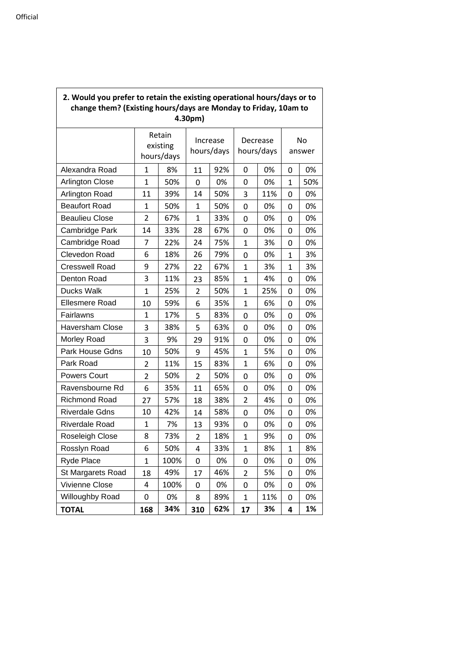| ould you prefer to retain the existing operational hours, days or to<br>change them? (Existing hours/days are Monday to Friday, 10am to<br>4.30pm) |              |                                  |              |                        |                |                        |             |              |
|----------------------------------------------------------------------------------------------------------------------------------------------------|--------------|----------------------------------|--------------|------------------------|----------------|------------------------|-------------|--------------|
|                                                                                                                                                    |              | Retain<br>existing<br>hours/days |              | Increase<br>hours/days |                | Decrease<br>hours/days |             | No<br>answer |
| Alexandra Road                                                                                                                                     | 1            | 8%                               | 11           | 92%                    | 0              | 0%                     | 0           | 0%           |
| <b>Arlington Close</b>                                                                                                                             | 1            | 50%                              | 0            | 0%                     | 0              | 0%                     | 1           | 50%          |
| Arlington Road                                                                                                                                     | 11           | 39%                              | 14           | 50%                    | 3              | 11%                    | 0           | 0%           |
| <b>Beaufort Road</b>                                                                                                                               | 1            | 50%                              | $\mathbf{1}$ | 50%                    | 0              | 0%                     | 0           | 0%           |
| <b>Beaulieu Close</b>                                                                                                                              | 2            | 67%                              | 1            | 33%                    | 0              | 0%                     | 0           | 0%           |
| Cambridge Park                                                                                                                                     | 14           | 33%                              | 28           | 67%                    | 0              | 0%                     | 0           | 0%           |
| Cambridge Road                                                                                                                                     | 7            | 22%                              | 24           | 75%                    | $\mathbf{1}$   | 3%                     | 0           | 0%           |
| Clevedon Road                                                                                                                                      | 6            | 18%                              | 26           | 79%                    | 0              | 0%                     | 1           | 3%           |
| <b>Cresswell Road</b>                                                                                                                              | 9            | 27%                              | 22           | 67%                    | $\mathbf 1$    | 3%                     | 1           | 3%           |
| Denton Road                                                                                                                                        | 3            | 11%                              | 23           | 85%                    | $\mathbf{1}$   | 4%                     | 0           | 0%           |
| Ducks Walk                                                                                                                                         | $\mathbf{1}$ | 25%                              | 2            | 50%                    | $\mathbf{1}$   | 25%                    | 0           | 0%           |
| <b>Ellesmere Road</b>                                                                                                                              | 10           | 59%                              | 6            | 35%                    | $\mathbf{1}$   | 6%                     | 0           | 0%           |
| Fairlawns                                                                                                                                          | 1            | 17%                              | 5            | 83%                    | 0              | 0%                     | 0           | 0%           |
| <b>Haversham Close</b>                                                                                                                             | 3            | 38%                              | 5            | 63%                    | 0              | 0%                     | 0           | 0%           |
| Morley Road                                                                                                                                        | 3            | 9%                               | 29           | 91%                    | 0              | 0%                     | 0           | 0%           |
| Park House Gdns                                                                                                                                    | 10           | 50%                              | 9            | 45%                    | $\mathbf{1}$   | 5%                     | 0           | 0%           |
| Park Road                                                                                                                                          | 2            | 11%                              | 15           | 83%                    | $\mathbf{1}$   | 6%                     | 0           | 0%           |
| <b>Powers Court</b>                                                                                                                                | 2            | 50%                              | 2            | 50%                    | 0              | 0%                     | 0           | 0%           |
| Ravensbourne Rd                                                                                                                                    | 6            | 35%                              | 11           | 65%                    | 0              | 0%                     | 0           | 0%           |
| Richmond Road                                                                                                                                      | 27           | 57%                              | 18           | 38%                    | $\overline{2}$ | 4%                     | 0           | 0%           |
| <b>Riverdale Gdns</b>                                                                                                                              | 10           | 42%                              | 14           | 58%                    | 0              | 0%                     | 0           | 0%           |
| Riverdale Road                                                                                                                                     | 1            | 7%                               | 13           | 93%                    | 0              | 0%                     | 0           | 0%           |
| Roseleigh Close                                                                                                                                    | 8            | 73%                              | 2            | 18%                    | $\mathbf{1}$   | 9%                     | 0           | 0%           |
| Rosslyn Road                                                                                                                                       | 6            | 50%                              | 4            | 33%                    | $\mathbf 1$    | 8%                     | $\mathbf 1$ | 8%           |
| Ryde Place                                                                                                                                         | $\mathbf{1}$ | 100%                             | 0            | 0%                     | 0              | 0%                     | 0           | 0%           |
| St Margarets Road                                                                                                                                  | 18           | 49%                              | 17           | 46%                    | $\overline{2}$ | 5%                     | 0           | 0%           |
| Vivienne Close                                                                                                                                     | 4            | 100%                             | 0            | 0%                     | 0              | 0%                     | 0           | 0%           |
| Willoughby Road                                                                                                                                    | 0            | 0%                               | 8            | 89%                    | $\mathbf 1$    | 11%                    | 0           | 0%           |
| <b>TOTAL</b>                                                                                                                                       | 168          | 34%                              | 310          | 62%                    | 17             | 3%                     | 4           | 1%           |

## **2. Would you prefer to retain the existing operational hours/days or to**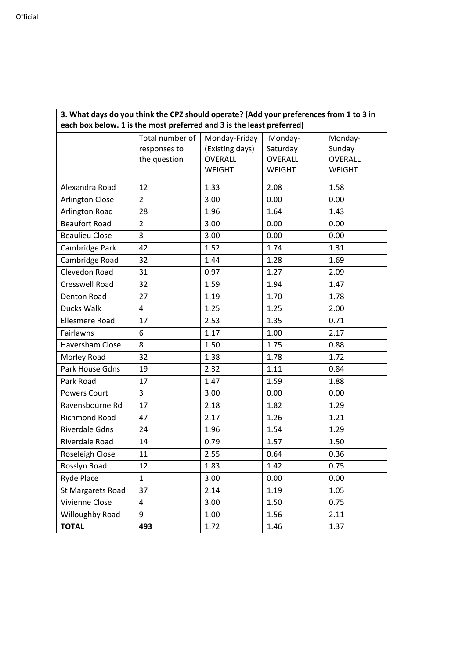| 3. What days do you think the CPZ should operate? (Add your preferences from 1 to 3 in<br>each box below. 1 is the most preferred and 3 is the least preferred) |                 |                 |                |               |  |
|-----------------------------------------------------------------------------------------------------------------------------------------------------------------|-----------------|-----------------|----------------|---------------|--|
|                                                                                                                                                                 | Total number of | Monday-Friday   | Monday-        | Monday-       |  |
|                                                                                                                                                                 | responses to    | (Existing days) | Saturday       | Sunday        |  |
|                                                                                                                                                                 | the question    | <b>OVERALL</b>  | <b>OVERALL</b> | OVERALL       |  |
|                                                                                                                                                                 |                 | <b>WEIGHT</b>   | <b>WEIGHT</b>  | <b>WEIGHT</b> |  |
| Alexandra Road                                                                                                                                                  | 12              | 1.33            | 2.08           | 1.58          |  |
| <b>Arlington Close</b>                                                                                                                                          | $\overline{2}$  | 3.00            | 0.00           | 0.00          |  |
| Arlington Road                                                                                                                                                  | 28              | 1.96            | 1.64           | 1.43          |  |
| <b>Beaufort Road</b>                                                                                                                                            | $\overline{2}$  | 3.00            | 0.00           | 0.00          |  |
| <b>Beaulieu Close</b>                                                                                                                                           | 3               | 3.00            | 0.00           | 0.00          |  |
| Cambridge Park                                                                                                                                                  | 42              | 1.52            | 1.74           | 1.31          |  |
| Cambridge Road                                                                                                                                                  | 32              | 1.44            | 1.28           | 1.69          |  |
| Clevedon Road                                                                                                                                                   | 31              | 0.97            | 1.27           | 2.09          |  |
| <b>Cresswell Road</b>                                                                                                                                           | 32              | 1.59            | 1.94           | 1.47          |  |
| <b>Denton Road</b>                                                                                                                                              | 27              | 1.19            | 1.70           | 1.78          |  |
| Ducks Walk                                                                                                                                                      | 4               | 1.25            | 1.25           | 2.00          |  |
| <b>Ellesmere Road</b>                                                                                                                                           | 17              | 2.53            | 1.35           | 0.71          |  |
| Fairlawns                                                                                                                                                       | 6               | 1.17            | 1.00           | 2.17          |  |
| Haversham Close                                                                                                                                                 | 8               | 1.50            | 1.75           | 0.88          |  |
| Morley Road                                                                                                                                                     | 32              | 1.38            | 1.78           | 1.72          |  |
| Park House Gdns                                                                                                                                                 | 19              | 2.32            | 1.11           | 0.84          |  |
| Park Road                                                                                                                                                       | 17              | 1.47            | 1.59           | 1.88          |  |
| <b>Powers Court</b>                                                                                                                                             | 3               | 3.00            | 0.00           | 0.00          |  |
| Ravensbourne Rd                                                                                                                                                 | 17              | 2.18            | 1.82           | 1.29          |  |
| Richmond Road                                                                                                                                                   | 47              | 2.17            | 1.26           | 1.21          |  |
| <b>Riverdale Gdns</b>                                                                                                                                           | 24              | 1.96            | 1.54           | 1.29          |  |
| Riverdale Road                                                                                                                                                  | 14              | 0.79            | 1.57           | 1.50          |  |
| Roseleigh Close                                                                                                                                                 | 11              | 2.55            | 0.64           | 0.36          |  |
| Rosslyn Road                                                                                                                                                    | 12              | 1.83            | 1.42           | 0.75          |  |
| Ryde Place                                                                                                                                                      | $\mathbf{1}$    | 3.00            | 0.00           | 0.00          |  |
| St Margarets Road                                                                                                                                               | 37              | 2.14            | 1.19           | 1.05          |  |
| Vivienne Close                                                                                                                                                  | 4               | 3.00            | 1.50           | 0.75          |  |
| Willoughby Road                                                                                                                                                 | 9               | 1.00            | 1.56           | 2.11          |  |
| <b>TOTAL</b>                                                                                                                                                    | 493             | 1.72            | 1.46           | 1.37          |  |